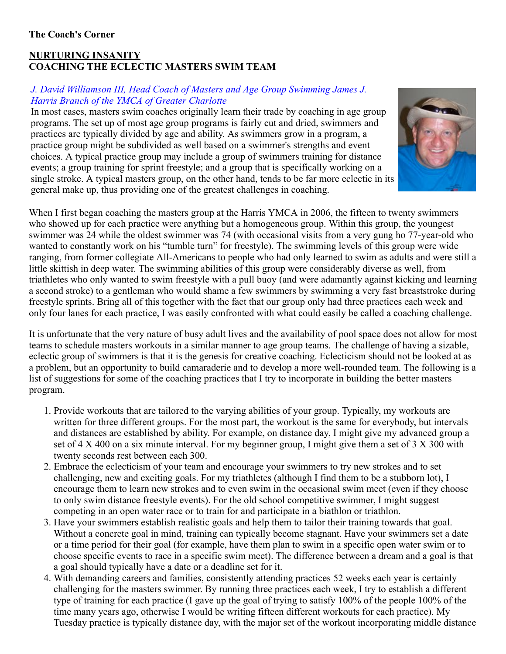## **NURTURING INSANITY COACHING THE ECLECTIC MASTERS SWIM TEAM**

## *J. David Williamson III, Head Coach of Masters and Age Group Swimming James J. Harris Branch of the YMCA of Greater Charlotte*

In most cases, masters swim coaches originally learn their trade by coaching in age group programs. The set up of most age group programs is fairly cut and dried, swimmers and practices are typically divided by age and ability. As swimmers grow in a program, a practice group might be subdivided as well based on a swimmer's strengths and event choices. A typical practice group may include a group of swimmers training for distance events; a group training for sprint freestyle; and a group that is specifically working on a single stroke. A typical masters group, on the other hand, tends to be far more eclectic in its general make up, thus providing one of the greatest challenges in coaching.



When I first began coaching the masters group at the Harris YMCA in 2006, the fifteen to twenty swimmers who showed up for each practice were anything but a homogeneous group. Within this group, the youngest swimmer was 24 while the oldest swimmer was 74 (with occasional visits from a very gung ho 77-year-old who wanted to constantly work on his "tumble turn" for freestyle). The swimming levels of this group were wide ranging, from former collegiate All-Americans to people who had only learned to swim as adults and were still a little skittish in deep water. The swimming abilities of this group were considerably diverse as well, from triathletes who only wanted to swim freestyle with a pull buoy (and were adamantly against kicking and learning a second stroke) to a gentleman who would shame a few swimmers by swimming a very fast breaststroke during freestyle sprints. Bring all of this together with the fact that our group only had three practices each week and only four lanes for each practice, I was easily confronted with what could easily be called a coaching challenge.

It is unfortunate that the very nature of busy adult lives and the availability of pool space does not allow for most teams to schedule masters workouts in a similar manner to age group teams. The challenge of having a sizable, eclectic group of swimmers is that it is the genesis for creative coaching. Eclecticism should not be looked at as a problem, but an opportunity to build camaraderie and to develop a more well-rounded team. The following is a list of suggestions for some of the coaching practices that I try to incorporate in building the better masters program.

- 1. Provide workouts that are tailored to the varying abilities of your group. Typically, my workouts are written for three different groups. For the most part, the workout is the same for everybody, but intervals and distances are established by ability. For example, on distance day, I might give my advanced group a set of 4 X 400 on a six minute interval. For my beginner group, I might give them a set of 3 X 300 with twenty seconds rest between each 300.
- 2. Embrace the eclecticism of your team and encourage your swimmers to try new strokes and to set challenging, new and exciting goals. For my triathletes (although I find them to be a stubborn lot), I encourage them to learn new strokes and to even swim in the occasional swim meet (even if they choose to only swim distance freestyle events). For the old school competitive swimmer, I might suggest competing in an open water race or to train for and participate in a biathlon or triathlon.
- 3. Have your swimmers establish realistic goals and help them to tailor their training towards that goal. Without a concrete goal in mind, training can typically become stagnant. Have your swimmers set a date or a time period for their goal (for example, have them plan to swim in a specific open water swim or to choose specific events to race in a specific swim meet). The difference between a dream and a goal is that a goal should typically have a date or a deadline set for it.
- 4. With demanding careers and families, consistently attending practices 52 weeks each year is certainly challenging for the masters swimmer. By running three practices each week, I try to establish a different type of training for each practice (I gave up the goal of trying to satisfy 100% of the people 100% of the time many years ago, otherwise I would be writing fifteen different workouts for each practice). My Tuesday practice is typically distance day, with the major set of the workout incorporating middle distance